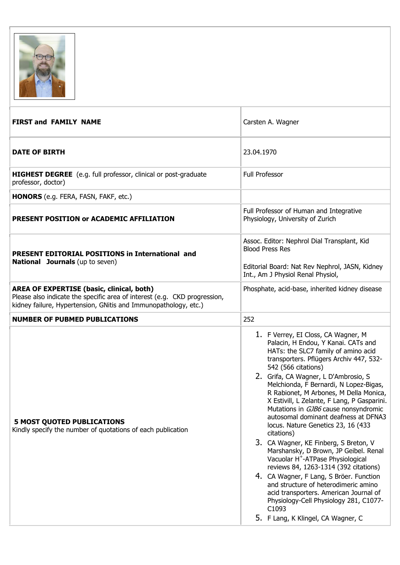

| <b>FIRST and FAMILY NAME</b>                                                                                                                                                                     | Carsten A. Wagner                                                                                                                                                                                                                                                                                                                                                                                                                                                                                                                                                                                                                                                                                                                                                                                                                                                                                    |
|--------------------------------------------------------------------------------------------------------------------------------------------------------------------------------------------------|------------------------------------------------------------------------------------------------------------------------------------------------------------------------------------------------------------------------------------------------------------------------------------------------------------------------------------------------------------------------------------------------------------------------------------------------------------------------------------------------------------------------------------------------------------------------------------------------------------------------------------------------------------------------------------------------------------------------------------------------------------------------------------------------------------------------------------------------------------------------------------------------------|
| <b>DATE OF BIRTH</b>                                                                                                                                                                             | 23.04.1970                                                                                                                                                                                                                                                                                                                                                                                                                                                                                                                                                                                                                                                                                                                                                                                                                                                                                           |
| HIGHEST DEGREE (e.g. full professor, clinical or post-graduate<br>professor, doctor)                                                                                                             | <b>Full Professor</b>                                                                                                                                                                                                                                                                                                                                                                                                                                                                                                                                                                                                                                                                                                                                                                                                                                                                                |
| HONORS (e.g. FERA, FASN, FAKF, etc.)                                                                                                                                                             |                                                                                                                                                                                                                                                                                                                                                                                                                                                                                                                                                                                                                                                                                                                                                                                                                                                                                                      |
| PRESENT POSITION or ACADEMIC AFFILIATION                                                                                                                                                         | Full Professor of Human and Integrative<br>Physiology, University of Zurich                                                                                                                                                                                                                                                                                                                                                                                                                                                                                                                                                                                                                                                                                                                                                                                                                          |
| PRESENT EDITORIAL POSITIONS in International and<br><b>National Journals</b> (up to seven)                                                                                                       | Assoc. Editor: Nephrol Dial Transplant, Kid<br><b>Blood Press Res</b><br>Editorial Board: Nat Rev Nephrol, JASN, Kidney<br>Int., Am J Physiol Renal Physiol,                                                                                                                                                                                                                                                                                                                                                                                                                                                                                                                                                                                                                                                                                                                                         |
| <b>AREA OF EXPERTISE (basic, clinical, both)</b><br>Please also indicate the specific area of interest (e.g. CKD progression,<br>kidney failure, Hypertension, GNitis and Immunopathology, etc.) | Phosphate, acid-base, inherited kidney disease                                                                                                                                                                                                                                                                                                                                                                                                                                                                                                                                                                                                                                                                                                                                                                                                                                                       |
| <b>NUMBER OF PUBMED PUBLICATIONS</b>                                                                                                                                                             | 252                                                                                                                                                                                                                                                                                                                                                                                                                                                                                                                                                                                                                                                                                                                                                                                                                                                                                                  |
| <b>5 MOST QUOTED PUBLICATIONS</b><br>Kindly specify the number of quotations of each publication                                                                                                 | 1. F Verrey, EI Closs, CA Wagner, M<br>Palacin, H Endou, Y Kanai. CATs and<br>HATs: the SLC7 family of amino acid<br>transporters. Pflügers Archiv 447, 532-<br>542 (566 citations)<br>2. Grifa, CA Wagner, L D'Ambrosio, S<br>Melchionda, F Bernardi, N Lopez-Bigas,<br>R Rabionet, M Arbones, M Della Monica,<br>X Estivill, L Zelante, F Lang, P Gasparini.<br>Mutations in GJB6 cause nonsyndromic<br>autosomal dominant deafness at DFNA3<br>locus. Nature Genetics 23, 16 (433<br>citations)<br>3. CA Wagner, KE Finberg, S Breton, V<br>Marshansky, D Brown, JP Geibel. Renal<br>Vacuolar H <sup>+</sup> -ATPase Physiological<br>reviews 84, 1263-1314 (392 citations)<br>4. CA Wagner, F Lang, S Bröer. Function<br>and structure of heterodimeric amino<br>acid transporters. American Journal of<br>Physiology-Cell Physiology 281, C1077-<br>C1093<br>5. F Lang, K Klingel, CA Wagner, C |